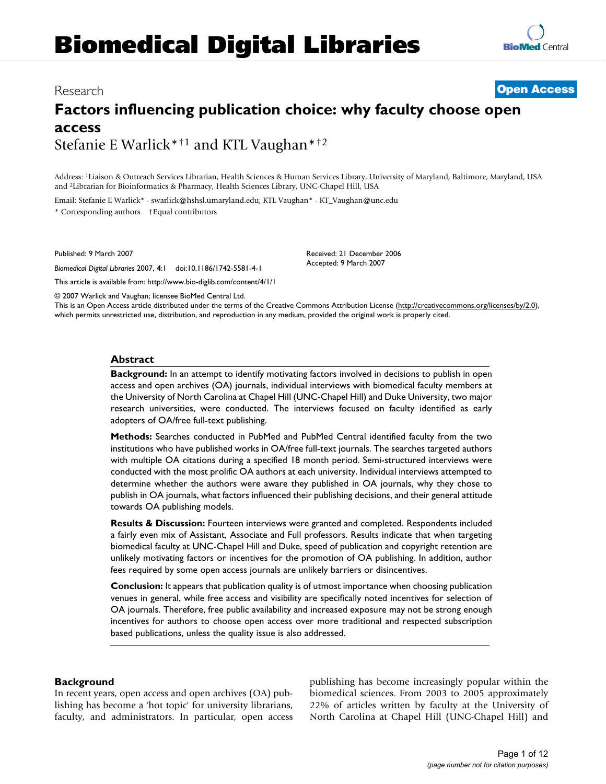# **Biomedical Digital Libraries**

# Research **Open Access**

# **Factors influencing publication choice: why faculty choose open access** Stefanie E Warlick\*†1 and KTL Vaughan\*†2

Address: 1Liaison & Outreach Services Librarian, Health Sciences & Human Services Library, University of Maryland, Baltimore, Maryland, USA and 2Librarian for Bioinformatics & Pharmacy, Health Sciences Library, UNC-Chapel Hill, USA

Email: Stefanie E Warlick\* - swarlick@hshsl.umaryland.edu; KTL Vaughan\* - KT\_Vaughan@unc.edu \* Corresponding authors †Equal contributors

Published: 9 March 2007

*Biomedical Digital Libraries* 2007, **4**:1 doi:10.1186/1742-5581-4-1

This article is available from: http://www.bio-diglib.com/content/4/1/1

© 2007 Warlick and Vaughan; licensee BioMed Central Ltd.

This is an Open Access article distributed under the terms of the Creative Commons Attribution License (http://creativecommons.org/licenses/by/2.0), which permits unrestricted use, distribution, and reproduction in any medium, provided the original work is properly cited.

Received: 21 December 2006 Accepted: 9 March 2007

#### **Abstract**

**Background:** In an attempt to identify motivating factors involved in decisions to publish in open access and open archives (OA) journals, individual interviews with biomedical faculty members at the University of North Carolina at Chapel Hill (UNC-Chapel Hill) and Duke University, two major research universities, were conducted. The interviews focused on faculty identified as early adopters of OA/free full-text publishing.

**Methods:** Searches conducted in PubMed and PubMed Central identified faculty from the two institutions who have published works in OA/free full-text journals. The searches targeted authors with multiple OA citations during a specified 18 month period. Semi-structured interviews were conducted with the most prolific OA authors at each university. Individual interviews attempted to determine whether the authors were aware they published in OA journals, why they chose to publish in OA journals, what factors influenced their publishing decisions, and their general attitude towards OA publishing models.

**Results & Discussion:** Fourteen interviews were granted and completed. Respondents included a fairly even mix of Assistant, Associate and Full professors. Results indicate that when targeting biomedical faculty at UNC-Chapel Hill and Duke, speed of publication and copyright retention are unlikely motivating factors or incentives for the promotion of OA publishing. In addition, author fees required by some open access journals are unlikely barriers or disincentives.

**Conclusion:** It appears that publication quality is of utmost importance when choosing publication venues in general, while free access and visibility are specifically noted incentives for selection of OA journals. Therefore, free public availability and increased exposure may not be strong enough incentives for authors to choose open access over more traditional and respected subscription based publications, unless the quality issue is also addressed.

#### **Background**

In recent years, open access and open archives (OA) publishing has become a 'hot topic' for university librarians, faculty, and administrators. In particular, open access publishing has become increasingly popular within the biomedical sciences. From 2003 to 2005 approximately 22% of articles written by faculty at the University of North Carolina at Chapel Hill (UNC-Chapel Hill) and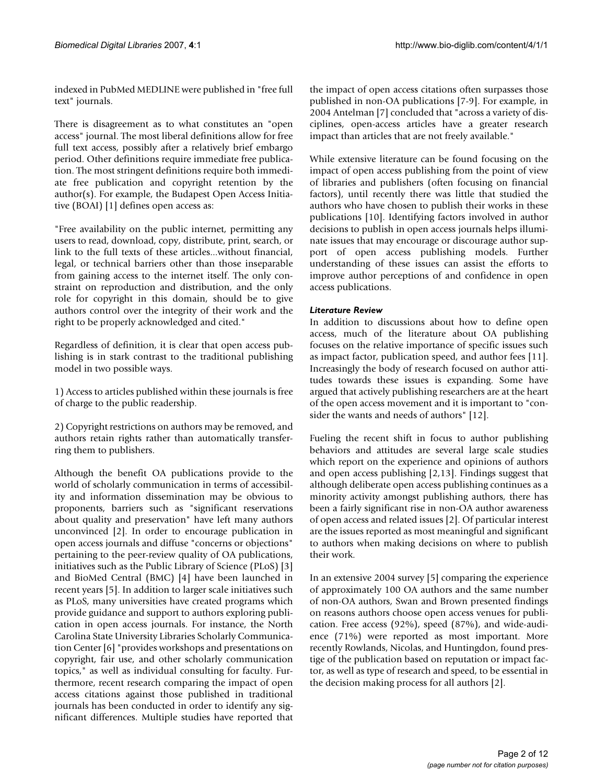indexed in PubMed MEDLINE were published in "free full text" journals.

There is disagreement as to what constitutes an "open access" journal. The most liberal definitions allow for free full text access, possibly after a relatively brief embargo period. Other definitions require immediate free publication. The most stringent definitions require both immediate free publication and copyright retention by the author(s). For example, the Budapest Open Access Initiative (BOAI) [1] defines open access as:

"Free availability on the public internet, permitting any users to read, download, copy, distribute, print, search, or link to the full texts of these articles...without financial, legal, or technical barriers other than those inseparable from gaining access to the internet itself. The only constraint on reproduction and distribution, and the only role for copyright in this domain, should be to give authors control over the integrity of their work and the right to be properly acknowledged and cited."

Regardless of definition, it is clear that open access publishing is in stark contrast to the traditional publishing model in two possible ways.

1) Access to articles published within these journals is free of charge to the public readership.

2) Copyright restrictions on authors may be removed, and authors retain rights rather than automatically transferring them to publishers.

Although the benefit OA publications provide to the world of scholarly communication in terms of accessibility and information dissemination may be obvious to proponents, barriers such as "significant reservations about quality and preservation" have left many authors unconvinced [2]. In order to encourage publication in open access journals and diffuse "concerns or objections" pertaining to the peer-review quality of OA publications, initiatives such as the Public Library of Science (PLoS) [3] and BioMed Central (BMC) [4] have been launched in recent years [5]. In addition to larger scale initiatives such as PLoS, many universities have created programs which provide guidance and support to authors exploring publication in open access journals. For instance, the North Carolina State University Libraries Scholarly Communication Center [6] "provides workshops and presentations on copyright, fair use, and other scholarly communication topics," as well as individual consulting for faculty. Furthermore, recent research comparing the impact of open access citations against those published in traditional journals has been conducted in order to identify any significant differences. Multiple studies have reported that While extensive literature can be found focusing on the impact of open access publishing from the point of view of libraries and publishers (often focusing on financial factors), until recently there was little that studied the authors who have chosen to publish their works in these publications [10]. Identifying factors involved in author decisions to publish in open access journals helps illuminate issues that may encourage or discourage author support of open access publishing models. Further understanding of these issues can assist the efforts to improve author perceptions of and confidence in open access publications.

#### *Literature Review*

In addition to discussions about how to define open access, much of the literature about OA publishing focuses on the relative importance of specific issues such as impact factor, publication speed, and author fees [11]. Increasingly the body of research focused on author attitudes towards these issues is expanding. Some have argued that actively publishing researchers are at the heart of the open access movement and it is important to "consider the wants and needs of authors" [12].

Fueling the recent shift in focus to author publishing behaviors and attitudes are several large scale studies which report on the experience and opinions of authors and open access publishing [2,13]. Findings suggest that although deliberate open access publishing continues as a minority activity amongst publishing authors, there has been a fairly significant rise in non-OA author awareness of open access and related issues [2]. Of particular interest are the issues reported as most meaningful and significant to authors when making decisions on where to publish their work.

In an extensive 2004 survey [5] comparing the experience of approximately 100 OA authors and the same number of non-OA authors, Swan and Brown presented findings on reasons authors choose open access venues for publication. Free access (92%), speed (87%), and wide-audience (71%) were reported as most important. More recently Rowlands, Nicolas, and Huntingdon, found prestige of the publication based on reputation or impact factor, as well as type of research and speed, to be essential in the decision making process for all authors [2].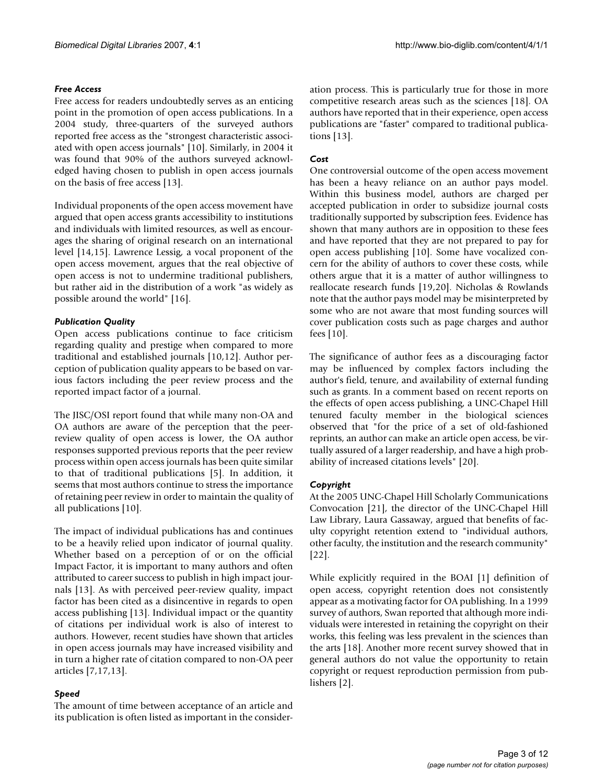#### *Free Access*

Free access for readers undoubtedly serves as an enticing point in the promotion of open access publications. In a 2004 study, three-quarters of the surveyed authors reported free access as the "strongest characteristic associated with open access journals" [10]. Similarly, in 2004 it was found that 90% of the authors surveyed acknowledged having chosen to publish in open access journals on the basis of free access [13].

Individual proponents of the open access movement have argued that open access grants accessibility to institutions and individuals with limited resources, as well as encourages the sharing of original research on an international level [14,15]. Lawrence Lessig, a vocal proponent of the open access movement, argues that the real objective of open access is not to undermine traditional publishers, but rather aid in the distribution of a work "as widely as possible around the world" [16].

### *Publication Quality*

Open access publications continue to face criticism regarding quality and prestige when compared to more traditional and established journals [10,12]. Author perception of publication quality appears to be based on various factors including the peer review process and the reported impact factor of a journal.

The JISC/OSI report found that while many non-OA and OA authors are aware of the perception that the peerreview quality of open access is lower, the OA author responses supported previous reports that the peer review process within open access journals has been quite similar to that of traditional publications [5]. In addition, it seems that most authors continue to stress the importance of retaining peer review in order to maintain the quality of all publications [10].

The impact of individual publications has and continues to be a heavily relied upon indicator of journal quality. Whether based on a perception of or on the official Impact Factor, it is important to many authors and often attributed to career success to publish in high impact journals [13]. As with perceived peer-review quality, impact factor has been cited as a disincentive in regards to open access publishing [13]. Individual impact or the quantity of citations per individual work is also of interest to authors. However, recent studies have shown that articles in open access journals may have increased visibility and in turn a higher rate of citation compared to non-OA peer articles [7,17,13].

# *Speed*

The amount of time between acceptance of an article and its publication is often listed as important in the consideration process. This is particularly true for those in more competitive research areas such as the sciences [18]. OA authors have reported that in their experience, open access publications are "faster" compared to traditional publications [13].

# *Cost*

One controversial outcome of the open access movement has been a heavy reliance on an author pays model. Within this business model, authors are charged per accepted publication in order to subsidize journal costs traditionally supported by subscription fees. Evidence has shown that many authors are in opposition to these fees and have reported that they are not prepared to pay for open access publishing [10]. Some have vocalized concern for the ability of authors to cover these costs, while others argue that it is a matter of author willingness to reallocate research funds [19,20]. Nicholas & Rowlands note that the author pays model may be misinterpreted by some who are not aware that most funding sources will cover publication costs such as page charges and author fees [10].

The significance of author fees as a discouraging factor may be influenced by complex factors including the author's field, tenure, and availability of external funding such as grants. In a comment based on recent reports on the effects of open access publishing, a UNC-Chapel Hill tenured faculty member in the biological sciences observed that "for the price of a set of old-fashioned reprints, an author can make an article open access, be virtually assured of a larger readership, and have a high probability of increased citations levels" [20].

# *Copyright*

At the 2005 UNC-Chapel Hill Scholarly Communications Convocation [21], the director of the UNC-Chapel Hill Law Library, Laura Gassaway, argued that benefits of faculty copyright retention extend to "individual authors, other faculty, the institution and the research community" [22].

While explicitly required in the BOAI [1] definition of open access, copyright retention does not consistently appear as a motivating factor for OA publishing. In a 1999 survey of authors, Swan reported that although more individuals were interested in retaining the copyright on their works, this feeling was less prevalent in the sciences than the arts [18]. Another more recent survey showed that in general authors do not value the opportunity to retain copyright or request reproduction permission from publishers [2].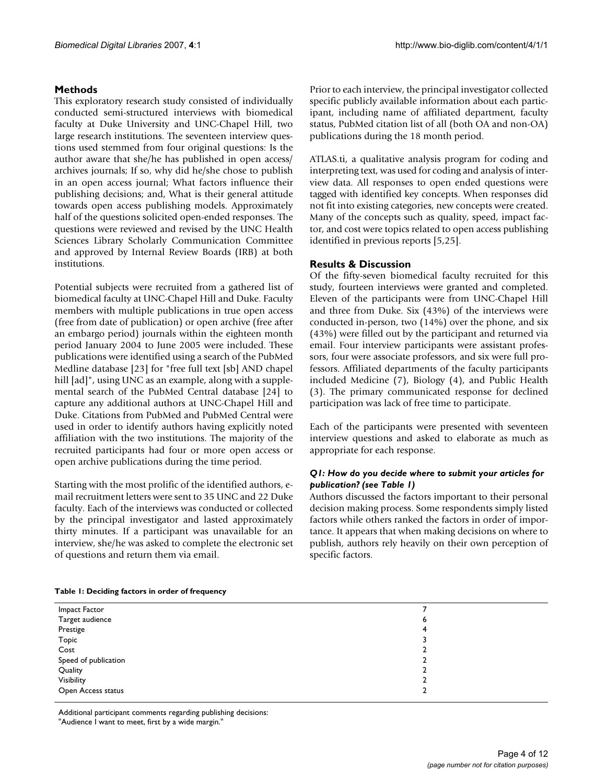#### **Methods**

This exploratory research study consisted of individually conducted semi-structured interviews with biomedical faculty at Duke University and UNC-Chapel Hill, two large research institutions. The seventeen interview questions used stemmed from four original questions: Is the author aware that she/he has published in open access/ archives journals; If so, why did he/she chose to publish in an open access journal; What factors influence their publishing decisions; and, What is their general attitude towards open access publishing models. Approximately half of the questions solicited open-ended responses. The questions were reviewed and revised by the UNC Health Sciences Library Scholarly Communication Committee and approved by Internal Review Boards (IRB) at both institutions.

Potential subjects were recruited from a gathered list of biomedical faculty at UNC-Chapel Hill and Duke. Faculty members with multiple publications in true open access (free from date of publication) or open archive (free after an embargo period) journals within the eighteen month period January 2004 to June 2005 were included. These publications were identified using a search of the PubMed Medline database [23] for "free full text [sb] AND chapel hill [ad]", using UNC as an example, along with a supplemental search of the PubMed Central database [24] to capture any additional authors at UNC-Chapel Hill and Duke. Citations from PubMed and PubMed Central were used in order to identify authors having explicitly noted affiliation with the two institutions. The majority of the recruited participants had four or more open access or open archive publications during the time period.

Starting with the most prolific of the identified authors, email recruitment letters were sent to 35 UNC and 22 Duke faculty. Each of the interviews was conducted or collected by the principal investigator and lasted approximately thirty minutes. If a participant was unavailable for an interview, she/he was asked to complete the electronic set of questions and return them via email.

Prior to each interview, the principal investigator collected specific publicly available information about each participant, including name of affiliated department, faculty status, PubMed citation list of all (both OA and non-OA) publications during the 18 month period.

ATLAS.ti, a qualitative analysis program for coding and interpreting text, was used for coding and analysis of interview data. All responses to open ended questions were tagged with identified key concepts. When responses did not fit into existing categories, new concepts were created. Many of the concepts such as quality, speed, impact factor, and cost were topics related to open access publishing identified in previous reports [5,25].

#### **Results & Discussion**

Of the fifty-seven biomedical faculty recruited for this study, fourteen interviews were granted and completed. Eleven of the participants were from UNC-Chapel Hill and three from Duke. Six (43%) of the interviews were conducted in-person, two (14%) over the phone, and six (43%) were filled out by the participant and returned via email. Four interview participants were assistant professors, four were associate professors, and six were full professors. Affiliated departments of the faculty participants included Medicine (7), Biology (4), and Public Health (3). The primary communicated response for declined participation was lack of free time to participate.

Each of the participants were presented with seventeen interview questions and asked to elaborate as much as appropriate for each response.

#### *Q1: How do you decide where to submit your articles for publication? (see Table 1)*

Authors discussed the factors important to their personal decision making process. Some respondents simply listed factors while others ranked the factors in order of importance. It appears that when making decisions on where to publish, authors rely heavily on their own perception of specific factors.

|  | Table 1: Deciding factors in order of frequency |
|--|-------------------------------------------------|
|--|-------------------------------------------------|

| Impact Factor        |   |  |
|----------------------|---|--|
| Target audience      | 6 |  |
| Prestige             | 4 |  |
| Topic                |   |  |
| Cost                 |   |  |
| Speed of publication |   |  |
| Quality              |   |  |
| Visibility           |   |  |
| Open Access status   |   |  |

Additional participant comments regarding publishing decisions: "Audience I want to meet, first by a wide margin."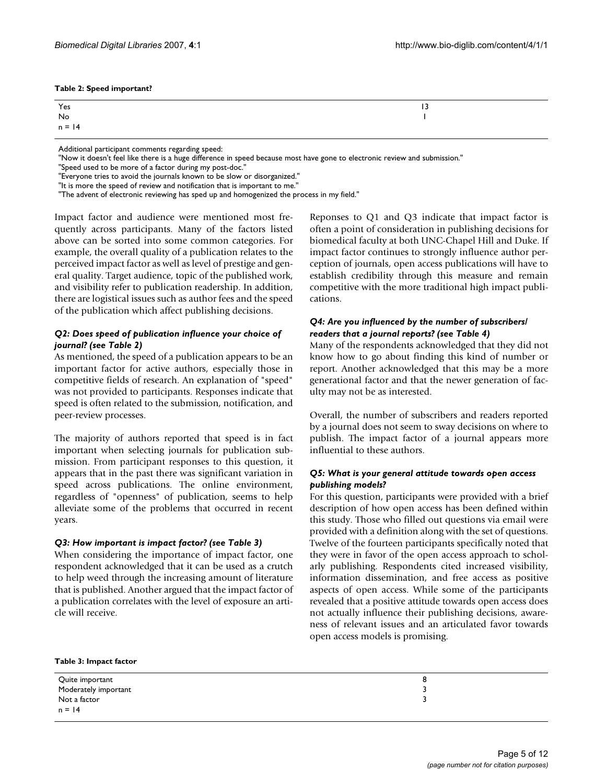#### **Table 2: Speed important?**

| Yes            | $\sim$<br>13 |
|----------------|--------------|
| No<br>$n = 14$ |              |
|                |              |
|                |              |

Additional participant comments regarding speed:

"Now it doesn't feel like there is a huge difference in speed because most have gone to electronic review and submission."

"Everyone tries to avoid the journals known to be slow or disorganized."

"It is more the speed of review and notification that is important to me."

"The advent of electronic reviewing has sped up and homogenized the process in my field."

Impact factor and audience were mentioned most frequently across participants. Many of the factors listed above can be sorted into some common categories. For example, the overall quality of a publication relates to the perceived impact factor as well as level of prestige and general quality. Target audience, topic of the published work, and visibility refer to publication readership. In addition, there are logistical issues such as author fees and the speed of the publication which affect publishing decisions.

#### *Q2: Does speed of publication influence your choice of journal? (see Table 2)*

As mentioned, the speed of a publication appears to be an important factor for active authors, especially those in competitive fields of research. An explanation of "speed" was not provided to participants. Responses indicate that speed is often related to the submission, notification, and peer-review processes.

The majority of authors reported that speed is in fact important when selecting journals for publication submission. From participant responses to this question, it appears that in the past there was significant variation in speed across publications. The online environment, regardless of "openness" of publication, seems to help alleviate some of the problems that occurred in recent years.

#### *Q3: How important is impact factor? (see Table 3)*

When considering the importance of impact factor, one respondent acknowledged that it can be used as a crutch to help weed through the increasing amount of literature that is published. Another argued that the impact factor of a publication correlates with the level of exposure an article will receive.

Reponses to Q1 and Q3 indicate that impact factor is often a point of consideration in publishing decisions for biomedical faculty at both UNC-Chapel Hill and Duke. If impact factor continues to strongly influence author perception of journals, open access publications will have to establish credibility through this measure and remain competitive with the more traditional high impact publications.

#### *Q4: Are you influenced by the number of subscribers/ readers that a journal reports? (see Table 4)*

Many of the respondents acknowledged that they did not know how to go about finding this kind of number or report. Another acknowledged that this may be a more generational factor and that the newer generation of faculty may not be as interested.

Overall, the number of subscribers and readers reported by a journal does not seem to sway decisions on where to publish. The impact factor of a journal appears more influential to these authors.

#### *Q5: What is your general attitude towards open access publishing models?*

For this question, participants were provided with a brief description of how open access has been defined within this study. Those who filled out questions via email were provided with a definition along with the set of questions. Twelve of the fourteen participants specifically noted that they were in favor of the open access approach to scholarly publishing. Respondents cited increased visibility, information dissemination, and free access as positive aspects of open access. While some of the participants revealed that a positive attitude towards open access does not actually influence their publishing decisions, awareness of relevant issues and an articulated favor towards open access models is promising.

| Table 3: Impact factor |  |  |
|------------------------|--|--|
|------------------------|--|--|

| Quite important      | ж |  |
|----------------------|---|--|
| Moderately important |   |  |
| Not a factor         |   |  |
| $n = 14$             |   |  |

<sup>&</sup>quot;Speed used to be more of a factor during my post-doc."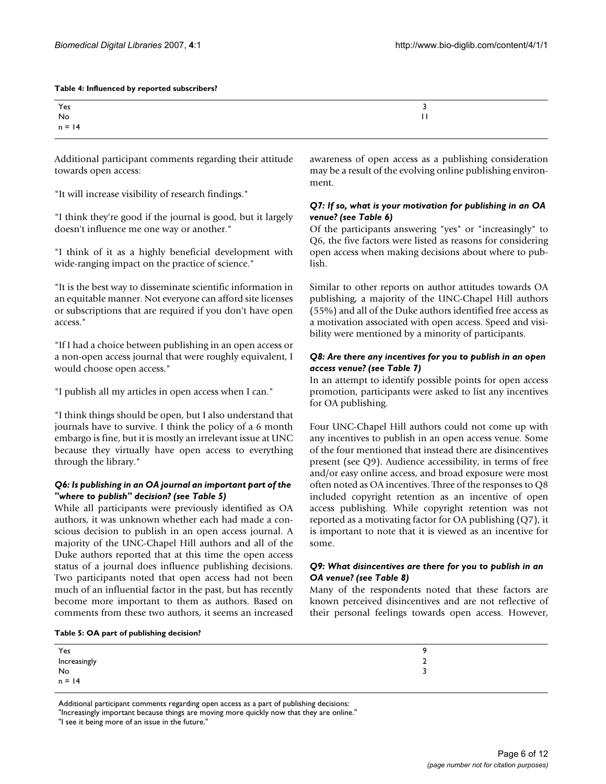| Yes<br>No<br>n = 14 |  |
|---------------------|--|
|                     |  |

Additional participant comments regarding their attitude towards open access:

"It will increase visibility of research findings."

"I think they're good if the journal is good, but it largely doesn't influence me one way or another."

"I think of it as a highly beneficial development with wide-ranging impact on the practice of science."

"It is the best way to disseminate scientific information in an equitable manner. Not everyone can afford site licenses or subscriptions that are required if you don't have open access."

"If I had a choice between publishing in an open access or a non-open access journal that were roughly equivalent, I would choose open access."

"I publish all my articles in open access when I can."

"I think things should be open, but I also understand that journals have to survive. I think the policy of a 6 month embargo is fine, but it is mostly an irrelevant issue at UNC because they virtually have open access to everything through the library."

#### *Q6: Is publishing in an OA journal an important part of the "where to publish" decision? (see Table 5)*

While all participants were previously identified as OA authors, it was unknown whether each had made a conscious decision to publish in an open access journal. A majority of the UNC-Chapel Hill authors and all of the Duke authors reported that at this time the open access status of a journal does influence publishing decisions. Two participants noted that open access had not been much of an influential factor in the past, but has recently become more important to them as authors. Based on comments from these two authors, it seems an increased awareness of open access as a publishing consideration may be a result of the evolving online publishing environment.

#### *Q7: If so, what is your motivation for publishing in an OA venue? (see Table 6)*

Of the participants answering "yes" or "increasingly" to Q6, the five factors were listed as reasons for considering open access when making decisions about where to publish.

Similar to other reports on author attitudes towards OA publishing, a majority of the UNC-Chapel Hill authors (55%) and all of the Duke authors identified free access as a motivation associated with open access. Speed and visibility were mentioned by a minority of participants.

#### *Q8: Are there any incentives for you to publish in an open access venue? (see Table 7)*

In an attempt to identify possible points for open access promotion, participants were asked to list any incentives for OA publishing.

Four UNC-Chapel Hill authors could not come up with any incentives to publish in an open access venue. Some of the four mentioned that instead there are disincentives present (see Q9). Audience accessibility, in terms of free and/or easy online access, and broad exposure were most often noted as OA incentives. Three of the responses to Q8 included copyright retention as an incentive of open access publishing. While copyright retention was not reported as a motivating factor for OA publishing (Q7), it is important to note that it is viewed as an incentive for some.

#### *Q9: What disincentives are there for you to publish in an OA venue? (see Table 8)*

Many of the respondents noted that these factors are known perceived disincentives and are not reflective of their personal feelings towards open access. However,

|  |  |  |  | Table 5: OA part of publishing decision? |
|--|--|--|--|------------------------------------------|
|--|--|--|--|------------------------------------------|

| Yes          |  |
|--------------|--|
| Increasingly |  |
| No           |  |
| $n = 14$     |  |

Additional participant comments regarding open access as a part of publishing decisions:

"Increasingly important because things are moving more quickly now that they are online."

<sup>&</sup>quot;I see it being more of an issue in the future."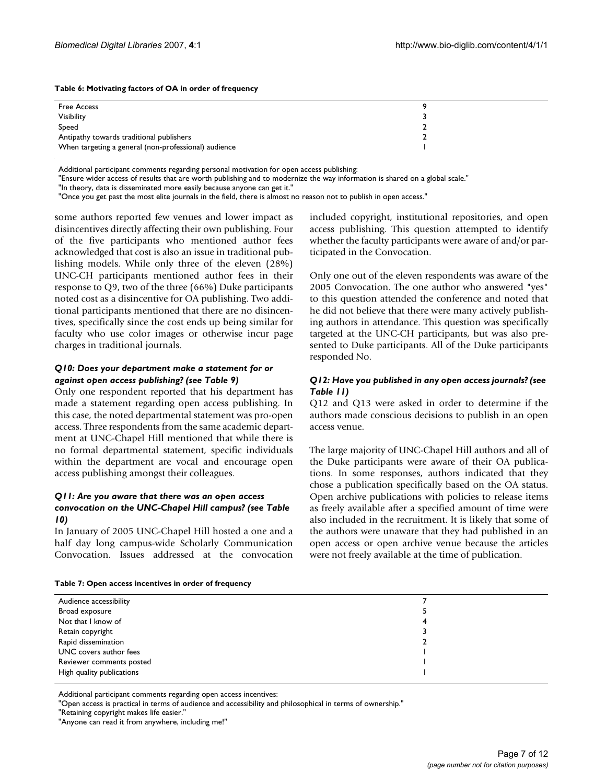| Table 6: Motivating factors of OA in order of frequency |  |  |  |  |
|---------------------------------------------------------|--|--|--|--|
|---------------------------------------------------------|--|--|--|--|

| <b>Free Access</b>                                   |  |
|------------------------------------------------------|--|
| Visibility                                           |  |
| Speed                                                |  |
| Antipathy towards traditional publishers             |  |
| When targeting a general (non-professional) audience |  |

Additional participant comments regarding personal motivation for open access publishing:

"Ensure wider access of results that are worth publishing and to modernize the way information is shared on a global scale."

"In theory, data is disseminated more easily because anyone can get it."

"Once you get past the most elite journals in the field, there is almost no reason not to publish in open access."

some authors reported few venues and lower impact as disincentives directly affecting their own publishing. Four of the five participants who mentioned author fees acknowledged that cost is also an issue in traditional publishing models. While only three of the eleven (28%) UNC-CH participants mentioned author fees in their response to Q9, two of the three (66%) Duke participants noted cost as a disincentive for OA publishing. Two additional participants mentioned that there are no disincentives, specifically since the cost ends up being similar for faculty who use color images or otherwise incur page charges in traditional journals.

#### *Q10: Does your department make a statement for or against open access publishing? (see Table 9)*

Only one respondent reported that his department has made a statement regarding open access publishing. In this case, the noted departmental statement was pro-open access. Three respondents from the same academic department at UNC-Chapel Hill mentioned that while there is no formal departmental statement, specific individuals within the department are vocal and encourage open access publishing amongst their colleagues.

#### *Q11: Are you aware that there was an open access convocation on the UNC-Chapel Hill campus? (see Table 10)*

In January of 2005 UNC-Chapel Hill hosted a one and a half day long campus-wide Scholarly Communication Convocation. Issues addressed at the convocation

**Table 7: Open access incentives in order of frequency**

included copyright, institutional repositories, and open access publishing. This question attempted to identify whether the faculty participants were aware of and/or participated in the Convocation.

Only one out of the eleven respondents was aware of the 2005 Convocation. The one author who answered "yes" to this question attended the conference and noted that he did not believe that there were many actively publishing authors in attendance. This question was specifically targeted at the UNC-CH participants, but was also presented to Duke participants. All of the Duke participants responded No.

#### *Q12: Have you published in any open access journals? (see Table 11)*

Q12 and Q13 were asked in order to determine if the authors made conscious decisions to publish in an open access venue.

The large majority of UNC-Chapel Hill authors and all of the Duke participants were aware of their OA publications. In some responses, authors indicated that they chose a publication specifically based on the OA status. Open archive publications with policies to release items as freely available after a specified amount of time were also included in the recruitment. It is likely that some of the authors were unaware that they had published in an open access or open archive venue because the articles were not freely available at the time of publication.

| Audience accessibility    |  |
|---------------------------|--|
| Broad exposure            |  |
| Not that I know of        |  |
| Retain copyright          |  |
| Rapid dissemination       |  |
| UNC covers author fees    |  |
| Reviewer comments posted  |  |
| High quality publications |  |

Additional participant comments regarding open access incentives:

"Open access is practical in terms of audience and accessibility and philosophical in terms of ownership."

"Retaining copyright makes life easier."

"Anyone can read it from anywhere, including me!"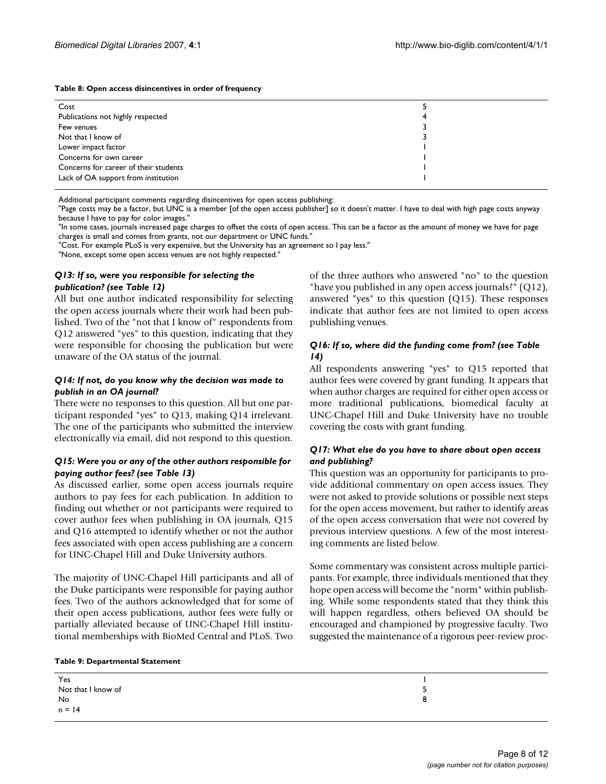#### **Table 8: Open access disincentives in order of frequency**

| Cost                                  |   |
|---------------------------------------|---|
| Publications not highly respected     | 4 |
| Few venues                            |   |
| Not that I know of                    |   |
| Lower impact factor                   |   |
| Concerns for own career               |   |
| Concerns for career of their students |   |
| Lack of OA support from institution   |   |
|                                       |   |

Additional participant comments regarding disincentives for open access publishing:

"Page costs may be a factor, but UNC is a member [of the open access publisher] so it doesn't matter. I have to deal with high page costs anyway because I have to pay for color images."

"In some cases, journals increased page charges to offset the costs of open access. This can be a factor as the amount of money we have for page charges is small and comes from grants, not our department or UNC funds."

"Cost. For example PLoS is very expensive, but the University has an agreement so I pay less."

"None, except some open access venues are not highly respected."

#### *Q13: If so, were you responsible for selecting the publication? (see Table 12)*

All but one author indicated responsibility for selecting the open access journals where their work had been published. Two of the "not that I know of" respondents from Q12 answered "yes" to this question, indicating that they were responsible for choosing the publication but were unaware of the OA status of the journal.

#### *Q14: If not, do you know why the decision was made to publish in an OA journal?*

There were no responses to this question. All but one participant responded "yes" to Q13, making Q14 irrelevant. The one of the participants who submitted the interview electronically via email, did not respond to this question.

#### *Q15: Were you or any of the other authors responsible for paying author fees? (see Table 13)*

As discussed earlier, some open access journals require authors to pay fees for each publication. In addition to finding out whether or not participants were required to cover author fees when publishing in OA journals, Q15 and Q16 attempted to identify whether or not the author fees associated with open access publishing are a concern for UNC-Chapel Hill and Duke University authors.

The majority of UNC-Chapel Hill participants and all of the Duke participants were responsible for paying author fees. Two of the authors acknowledged that for some of their open access publications, author fees were fully or partially alleviated because of UNC-Chapel Hill institutional memberships with BioMed Central and PLoS. Two of the three authors who answered "no" to the question "have you published in any open access journals?" (Q12), answered "yes" to this question (Q15). These responses indicate that author fees are not limited to open access publishing venues.

## *Q16: If so, where did the funding come from? (see Table 14)*

All respondents answering "yes" to Q15 reported that author fees were covered by grant funding. It appears that when author charges are required for either open access or more traditional publications, biomedical faculty at UNC-Chapel Hill and Duke University have no trouble covering the costs with grant funding.

#### *Q17: What else do you have to share about open access and publishing?*

This question was an opportunity for participants to provide additional commentary on open access issues. They were not asked to provide solutions or possible next steps for the open access movement, but rather to identify areas of the open access conversation that were not covered by previous interview questions. A few of the most interesting comments are listed below.

Some commentary was consistent across multiple participants. For example, three individuals mentioned that they hope open access will become the "norm" within publishing. While some respondents stated that they think this will happen regardless, others believed OA should be encouraged and championed by progressive faculty. Two suggested the maintenance of a rigorous peer-review proc-

#### **Table 9: Departmental Statement**

| Yes                |  |
|--------------------|--|
| Not that I know of |  |
| No                 |  |
| $n = 14$           |  |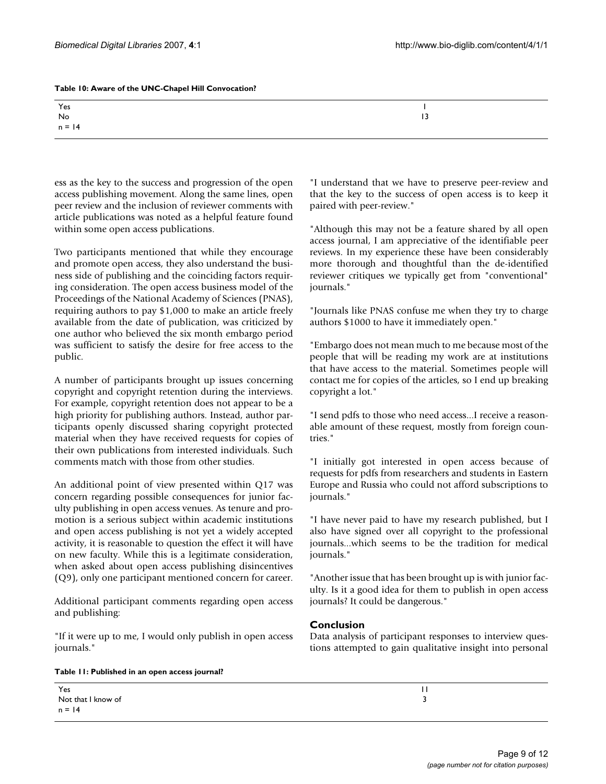|  |  |  | Table 10: Aware of the UNC-Chapel Hill Convocation? |
|--|--|--|-----------------------------------------------------|
|--|--|--|-----------------------------------------------------|

| Yes            |   |
|----------------|---|
| No<br>$n = 14$ | 3 |
|                |   |
|                |   |

ess as the key to the success and progression of the open access publishing movement. Along the same lines, open peer review and the inclusion of reviewer comments with article publications was noted as a helpful feature found within some open access publications.

Two participants mentioned that while they encourage and promote open access, they also understand the business side of publishing and the coinciding factors requiring consideration. The open access business model of the Proceedings of the National Academy of Sciences (PNAS), requiring authors to pay \$1,000 to make an article freely available from the date of publication, was criticized by one author who believed the six month embargo period was sufficient to satisfy the desire for free access to the public.

A number of participants brought up issues concerning copyright and copyright retention during the interviews. For example, copyright retention does not appear to be a high priority for publishing authors. Instead, author participants openly discussed sharing copyright protected material when they have received requests for copies of their own publications from interested individuals. Such comments match with those from other studies.

An additional point of view presented within Q17 was concern regarding possible consequences for junior faculty publishing in open access venues. As tenure and promotion is a serious subject within academic institutions and open access publishing is not yet a widely accepted activity, it is reasonable to question the effect it will have on new faculty. While this is a legitimate consideration, when asked about open access publishing disincentives (Q9), only one participant mentioned concern for career.

Additional participant comments regarding open access and publishing:

"If it were up to me, I would only publish in open access journals."

"I understand that we have to preserve peer-review and that the key to the success of open access is to keep it paired with peer-review."

"Although this may not be a feature shared by all open access journal, I am appreciative of the identifiable peer reviews. In my experience these have been considerably more thorough and thoughtful than the de-identified reviewer critiques we typically get from "conventional" journals."

"Journals like PNAS confuse me when they try to charge authors \$1000 to have it immediately open."

"Embargo does not mean much to me because most of the people that will be reading my work are at institutions that have access to the material. Sometimes people will contact me for copies of the articles, so I end up breaking copyright a lot."

"I send pdfs to those who need access...I receive a reasonable amount of these request, mostly from foreign countries."

"I initially got interested in open access because of requests for pdfs from researchers and students in Eastern Europe and Russia who could not afford subscriptions to journals."

"I have never paid to have my research published, but I also have signed over all copyright to the professional journals...which seems to be the tradition for medical journals."

"Another issue that has been brought up is with junior faculty. Is it a good idea for them to publish in open access journals? It could be dangerous."

#### **Conclusion**

Data analysis of participant responses to interview questions attempted to gain qualitative insight into personal

**Table 11: Published in an open access journal?**

| Yes                |  |
|--------------------|--|
| Not that I know of |  |
| $n = 14$           |  |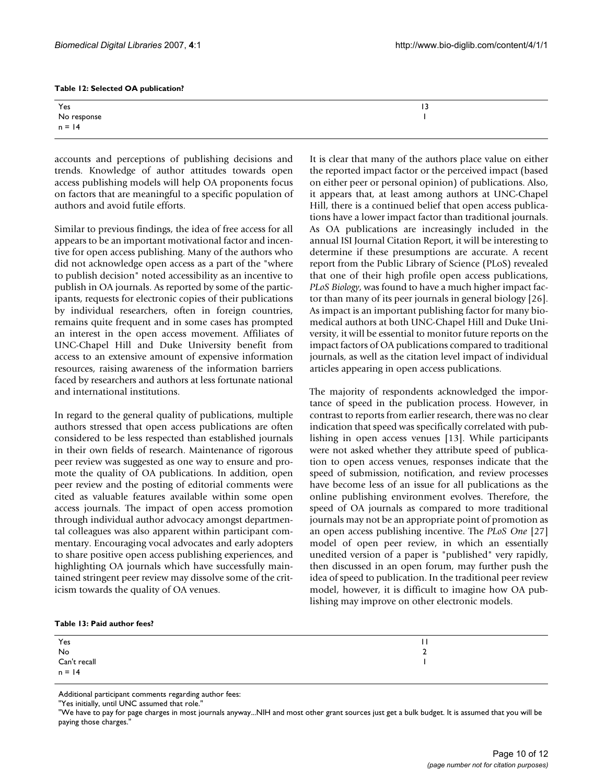#### **Table 12: Selected OA publication?**

| Yes                     | . . |  |
|-------------------------|-----|--|
| No response<br>$n = 14$ |     |  |
|                         |     |  |

accounts and perceptions of publishing decisions and trends. Knowledge of author attitudes towards open access publishing models will help OA proponents focus on factors that are meaningful to a specific population of authors and avoid futile efforts.

Similar to previous findings, the idea of free access for all appears to be an important motivational factor and incentive for open access publishing. Many of the authors who did not acknowledge open access as a part of the "where to publish decision" noted accessibility as an incentive to publish in OA journals. As reported by some of the participants, requests for electronic copies of their publications by individual researchers, often in foreign countries, remains quite frequent and in some cases has prompted an interest in the open access movement. Affiliates of UNC-Chapel Hill and Duke University benefit from access to an extensive amount of expensive information resources, raising awareness of the information barriers faced by researchers and authors at less fortunate national and international institutions.

In regard to the general quality of publications, multiple authors stressed that open access publications are often considered to be less respected than established journals in their own fields of research. Maintenance of rigorous peer review was suggested as one way to ensure and promote the quality of OA publications. In addition, open peer review and the posting of editorial comments were cited as valuable features available within some open access journals. The impact of open access promotion through individual author advocacy amongst departmental colleagues was also apparent within participant commentary. Encouraging vocal advocates and early adopters to share positive open access publishing experiences, and highlighting OA journals which have successfully maintained stringent peer review may dissolve some of the criticism towards the quality of OA venues.

It is clear that many of the authors place value on either the reported impact factor or the perceived impact (based on either peer or personal opinion) of publications. Also, it appears that, at least among authors at UNC-Chapel Hill, there is a continued belief that open access publications have a lower impact factor than traditional journals. As OA publications are increasingly included in the annual ISI Journal Citation Report, it will be interesting to determine if these presumptions are accurate. A recent report from the Public Library of Science (PLoS) revealed that one of their high profile open access publications, *PLoS Biology*, was found to have a much higher impact factor than many of its peer journals in general biology [26]. As impact is an important publishing factor for many biomedical authors at both UNC-Chapel Hill and Duke University, it will be essential to monitor future reports on the impact factors of OA publications compared to traditional journals, as well as the citation level impact of individual articles appearing in open access publications.

The majority of respondents acknowledged the importance of speed in the publication process. However, in contrast to reports from earlier research, there was no clear indication that speed was specifically correlated with publishing in open access venues [13]. While participants were not asked whether they attribute speed of publication to open access venues, responses indicate that the speed of submission, notification, and review processes have become less of an issue for all publications as the online publishing environment evolves. Therefore, the speed of OA journals as compared to more traditional journals may not be an appropriate point of promotion as an open access publishing incentive. The *PLoS One* [27] model of open peer review, in which an essentially unedited version of a paper is "published" very rapidly, then discussed in an open forum, may further push the idea of speed to publication. In the traditional peer review model, however, it is difficult to imagine how OA publishing may improve on other electronic models.

| Yes                |  |
|--------------------|--|
|                    |  |
| No<br>Can't recall |  |
| $n = 14$           |  |

Additional participant comments regarding author fees:

"Yes initially, until UNC assumed that role."

"We have to pay for page charges in most journals anyway...NIH and most other grant sources just get a bulk budget. It is assumed that you will be paying those charges."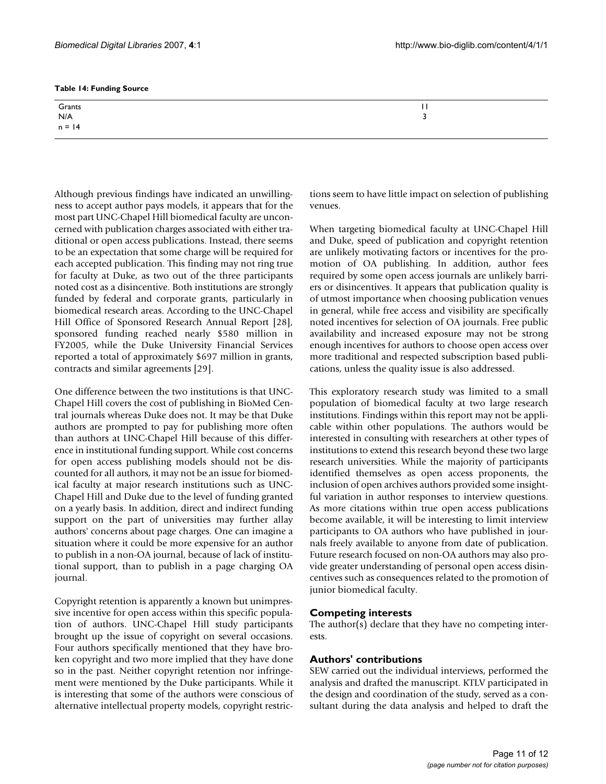

Although previous findings have indicated an unwillingness to accept author pays models, it appears that for the most part UNC-Chapel Hill biomedical faculty are unconcerned with publication charges associated with either traditional or open access publications. Instead, there seems to be an expectation that some charge will be required for each accepted publication. This finding may not ring true for faculty at Duke, as two out of the three participants noted cost as a disincentive. Both institutions are strongly funded by federal and corporate grants, particularly in biomedical research areas. According to the UNC-Chapel Hill Office of Sponsored Research Annual Report [28], sponsored funding reached nearly \$580 million in FY2005, while the Duke University Financial Services reported a total of approximately \$697 million in grants, contracts and similar agreements [29].

One difference between the two institutions is that UNC-Chapel Hill covers the cost of publishing in BioMed Central journals whereas Duke does not. It may be that Duke authors are prompted to pay for publishing more often than authors at UNC-Chapel Hill because of this difference in institutional funding support. While cost concerns for open access publishing models should not be discounted for all authors, it may not be an issue for biomedical faculty at major research institutions such as UNC-Chapel Hill and Duke due to the level of funding granted on a yearly basis. In addition, direct and indirect funding support on the part of universities may further allay authors' concerns about page charges. One can imagine a situation where it could be more expensive for an author to publish in a non-OA journal, because of lack of institutional support, than to publish in a page charging OA journal.

Copyright retention is apparently a known but unimpressive incentive for open access within this specific population of authors. UNC-Chapel Hill study participants brought up the issue of copyright on several occasions. Four authors specifically mentioned that they have broken copyright and two more implied that they have done so in the past. Neither copyright retention nor infringement were mentioned by the Duke participants. While it is interesting that some of the authors were conscious of alternative intellectual property models, copyright restrictions seem to have little impact on selection of publishing venues.

When targeting biomedical faculty at UNC-Chapel Hill and Duke, speed of publication and copyright retention are unlikely motivating factors or incentives for the promotion of OA publishing. In addition, author fees required by some open access journals are unlikely barriers or disincentives. It appears that publication quality is of utmost importance when choosing publication venues in general, while free access and visibility are specifically noted incentives for selection of OA journals. Free public availability and increased exposure may not be strong enough incentives for authors to choose open access over more traditional and respected subscription based publications, unless the quality issue is also addressed.

This exploratory research study was limited to a small population of biomedical faculty at two large research institutions. Findings within this report may not be applicable within other populations. The authors would be interested in consulting with researchers at other types of institutions to extend this research beyond these two large research universities. While the majority of participants identified themselves as open access proponents, the inclusion of open archives authors provided some insightful variation in author responses to interview questions. As more citations within true open access publications become available, it will be interesting to limit interview participants to OA authors who have published in journals freely available to anyone from date of publication. Future research focused on non-OA authors may also provide greater understanding of personal open access disincentives such as consequences related to the promotion of junior biomedical faculty.

#### **Competing interests**

The author(s) declare that they have no competing interests.

#### **Authors' contributions**

SEW carried out the individual interviews, performed the analysis and drafted the manuscript. KTLV participated in the design and coordination of the study, served as a consultant during the data analysis and helped to draft the